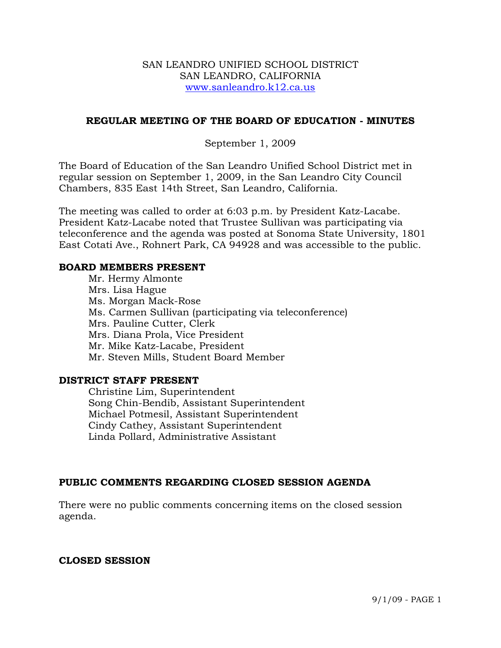### SAN LEANDRO UNIFIED SCHOOL DISTRICT SAN LEANDRO, CALIFORNIA www.sanleandro.k12.ca.us

### **REGULAR MEETING OF THE BOARD OF EDUCATION - MINUTES**

### September 1, 2009

The Board of Education of the San Leandro Unified School District met in regular session on September 1, 2009, in the San Leandro City Council Chambers, 835 East 14th Street, San Leandro, California.

The meeting was called to order at 6:03 p.m. by President Katz-Lacabe. President Katz-Lacabe noted that Trustee Sullivan was participating via teleconference and the agenda was posted at Sonoma State University, 1801 East Cotati Ave., Rohnert Park, CA 94928 and was accessible to the public.

#### **BOARD MEMBERS PRESENT**

Mr. Hermy Almonte Mrs. Lisa Hague Ms. Morgan Mack-Rose Ms. Carmen Sullivan (participating via teleconference) Mrs. Pauline Cutter, Clerk Mrs. Diana Prola, Vice President Mr. Mike Katz-Lacabe, President Mr. Steven Mills, Student Board Member

### **DISTRICT STAFF PRESENT**

Christine Lim, Superintendent Song Chin-Bendib, Assistant Superintendent Michael Potmesil, Assistant Superintendent Cindy Cathey, Assistant Superintendent Linda Pollard, Administrative Assistant

## **PUBLIC COMMENTS REGARDING CLOSED SESSION AGENDA**

There were no public comments concerning items on the closed session agenda.

### **CLOSED SESSION**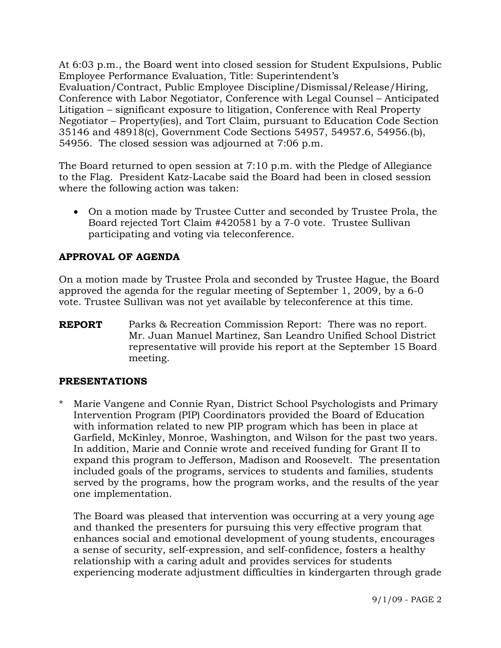At 6:03 p.m., the Board went into closed session for Student Expulsions, Public Employee Performance Evaluation, Title: Superintendent's Evaluation/Contract, Public Employee Discipline/Dismissal/Release/Hiring, Conference with Labor Negotiator, Conference with Legal Counsel – Anticipated Litigation – significant exposure to litigation, Conference with Real Property Negotiator – Property(ies), and Tort Claim, pursuant to Education Code Section 35146 and 48918(c), Government Code Sections 54957, 54957.6, 54956.(b), 54956. The closed session was adjourned at 7:06 p.m.

The Board returned to open session at 7:10 p.m. with the Pledge of Allegiance to the Flag. President Katz-Lacabe said the Board had been in closed session where the following action was taken:

• On a motion made by Trustee Cutter and seconded by Trustee Prola, the Board rejected Tort Claim #420581 by a 7-0 vote. Trustee Sullivan participating and voting via teleconference.

# **APPROVAL OF AGENDA**

On a motion made by Trustee Prola and seconded by Trustee Hague, the Board approved the agenda for the regular meeting of September 1, 2009, by a 6-0 vote. Trustee Sullivan was not yet available by teleconference at this time.

**REPORT** Parks & Recreation Commission Report: There was no report. Mr. Juan Manuel Martinez, San Leandro Unified School District representative will provide his report at the September 15 Board meeting.

## **PRESENTATIONS**

Marie Vangene and Connie Ryan, District School Psychologists and Primary Intervention Program (PIP) Coordinators provided the Board of Education with information related to new PIP program which has been in place at Garfield, McKinley, Monroe, Washington, and Wilson for the past two years. In addition, Marie and Connie wrote and received funding for Grant II to expand this program to Jefferson, Madison and Roosevelt. The presentation included goals of the programs, services to students and families, students served by the programs, how the program works, and the results of the year one implementation.

 The Board was pleased that intervention was occurring at a very young age and thanked the presenters for pursuing this very effective program that enhances social and emotional development of young students, encourages a sense of security, self-expression, and self-confidence, fosters a healthy relationship with a caring adult and provides services for students experiencing moderate adjustment difficulties in kindergarten through grade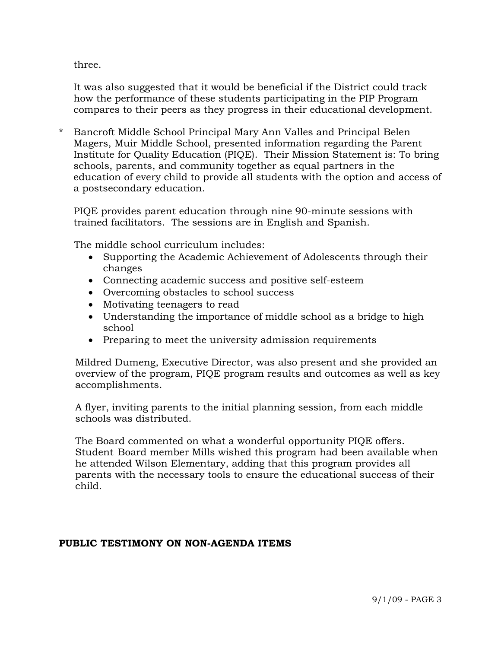three.

 It was also suggested that it would be beneficial if the District could track how the performance of these students participating in the PIP Program compares to their peers as they progress in their educational development.

\* Bancroft Middle School Principal Mary Ann Valles and Principal Belen Magers, Muir Middle School, presented information regarding the Parent Institute for Quality Education (PIQE). Their Mission Statement is: To bring schools, parents, and community together as equal partners in the education of every child to provide all students with the option and access of a postsecondary education.

PIQE provides parent education through nine 90-minute sessions with trained facilitators. The sessions are in English and Spanish.

The middle school curriculum includes:

- Supporting the Academic Achievement of Adolescents through their changes
- Connecting academic success and positive self-esteem
- Overcoming obstacles to school success
- Motivating teenagers to read
- Understanding the importance of middle school as a bridge to high school
- Preparing to meet the university admission requirements

 Mildred Dumeng, Executive Director, was also present and she provided an overview of the program, PIQE program results and outcomes as well as key accomplishments.

 A flyer, inviting parents to the initial planning session, from each middle schools was distributed.

 The Board commented on what a wonderful opportunity PIQE offers. Student Board member Mills wished this program had been available when he attended Wilson Elementary, adding that this program provides all parents with the necessary tools to ensure the educational success of their child.

## **PUBLIC TESTIMONY ON NON-AGENDA ITEMS**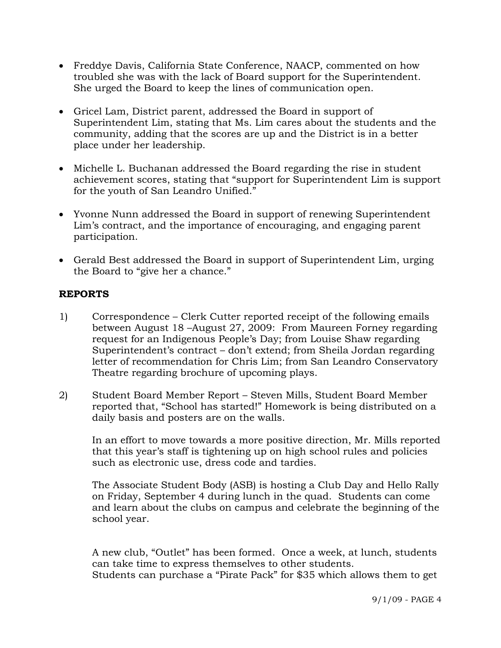- Freddye Davis, California State Conference, NAACP, commented on how troubled she was with the lack of Board support for the Superintendent. She urged the Board to keep the lines of communication open.
- Gricel Lam, District parent, addressed the Board in support of Superintendent Lim, stating that Ms. Lim cares about the students and the community, adding that the scores are up and the District is in a better place under her leadership.
- Michelle L. Buchanan addressed the Board regarding the rise in student achievement scores, stating that "support for Superintendent Lim is support for the youth of San Leandro Unified."
- Yvonne Nunn addressed the Board in support of renewing Superintendent Lim's contract, and the importance of encouraging, and engaging parent participation.
- Gerald Best addressed the Board in support of Superintendent Lim, urging the Board to "give her a chance."

### **REPORTS**

- 1) Correspondence Clerk Cutter reported receipt of the following emails between August 18 –August 27, 2009: From Maureen Forney regarding request for an Indigenous People's Day; from Louise Shaw regarding Superintendent's contract – don't extend; from Sheila Jordan regarding letter of recommendation for Chris Lim; from San Leandro Conservatory Theatre regarding brochure of upcoming plays.
- 2) Student Board Member Report Steven Mills, Student Board Member reported that, "School has started!" Homework is being distributed on a daily basis and posters are on the walls.

In an effort to move towards a more positive direction, Mr. Mills reported that this year's staff is tightening up on high school rules and policies such as electronic use, dress code and tardies.

The Associate Student Body (ASB) is hosting a Club Day and Hello Rally on Friday, September 4 during lunch in the quad. Students can come and learn about the clubs on campus and celebrate the beginning of the school year.

A new club, "Outlet" has been formed. Once a week, at lunch, students can take time to express themselves to other students. Students can purchase a "Pirate Pack" for \$35 which allows them to get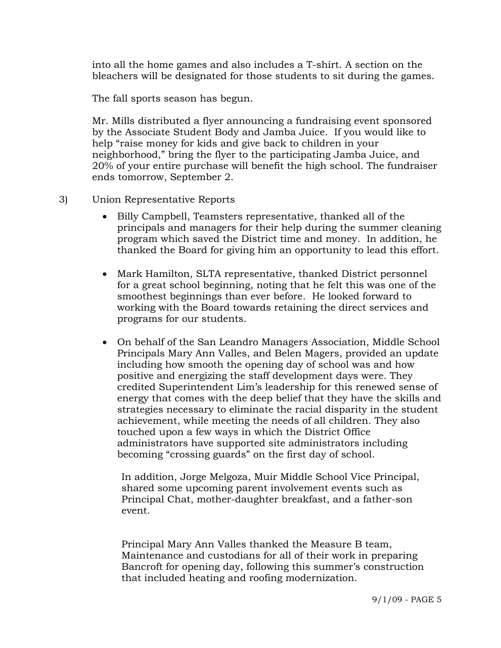into all the home games and also includes a T-shirt. A section on the bleachers will be designated for those students to sit during the games.

The fall sports season has begun.

Mr. Mills distributed a flyer announcing a fundraising event sponsored by the Associate Student Body and Jamba Juice. If you would like to help "raise money for kids and give back to children in your neighborhood," bring the flyer to the participating Jamba Juice, and 20% of your entire purchase will benefit the high school. The fundraiser ends tomorrow, September 2.

- 3) Union Representative Reports
	- Billy Campbell, Teamsters representative, thanked all of the principals and managers for their help during the summer cleaning program which saved the District time and money. In addition, he thanked the Board for giving him an opportunity to lead this effort.
	- Mark Hamilton, SLTA representative, thanked District personnel for a great school beginning, noting that he felt this was one of the smoothest beginnings than ever before. He looked forward to working with the Board towards retaining the direct services and programs for our students.
	- On behalf of the San Leandro Managers Association, Middle School Principals Mary Ann Valles, and Belen Magers, provided an update including how smooth the opening day of school was and how positive and energizing the staff development days were. They credited Superintendent Lim's leadership for this renewed sense of energy that comes with the deep belief that they have the skills and strategies necessary to eliminate the racial disparity in the student achievement, while meeting the needs of all children. They also touched upon a few ways in which the District Office administrators have supported site administrators including becoming "crossing guards" on the first day of school.

 In addition, Jorge Melgoza, Muir Middle School Vice Principal, shared some upcoming parent involvement events such as Principal Chat, mother-daughter breakfast, and a father-son event.

 Principal Mary Ann Valles thanked the Measure B team, Maintenance and custodians for all of their work in preparing Bancroft for opening day, following this summer's construction that included heating and roofing modernization.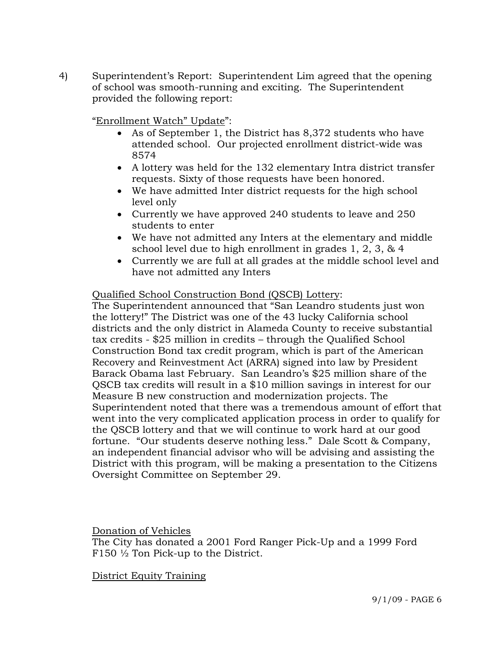4) Superintendent's Report: Superintendent Lim agreed that the opening of school was smooth-running and exciting. The Superintendent provided the following report:

"Enrollment Watch" Update":

- As of September 1, the District has 8,372 students who have attended school. Our projected enrollment district-wide was 8574
- A lottery was held for the 132 elementary Intra district transfer requests. Sixty of those requests have been honored.
- We have admitted Inter district requests for the high school level only
- Currently we have approved 240 students to leave and 250 students to enter
- We have not admitted any Inters at the elementary and middle school level due to high enrollment in grades 1, 2, 3, & 4
- Currently we are full at all grades at the middle school level and have not admitted any Inters

### Qualified School Construction Bond (QSCB) Lottery:

The Superintendent announced that "San Leandro students just won the lottery!" The District was one of the 43 lucky California school districts and the only district in Alameda County to receive substantial tax credits - \$25 million in credits – through the Qualified School Construction Bond tax credit program, which is part of the American Recovery and Reinvestment Act (ARRA) signed into law by President Barack Obama last February. San Leandro's \$25 million share of the QSCB tax credits will result in a \$10 million savings in interest for our Measure B new construction and modernization projects. The Superintendent noted that there was a tremendous amount of effort that went into the very complicated application process in order to qualify for the QSCB lottery and that we will continue to work hard at our good fortune. "Our students deserve nothing less." Dale Scott & Company, an independent financial advisor who will be advising and assisting the District with this program, will be making a presentation to the Citizens Oversight Committee on September 29.

Donation of Vehicles

The City has donated a 2001 Ford Ranger Pick-Up and a 1999 Ford F150 ½ Ton Pick-up to the District.

District Equity Training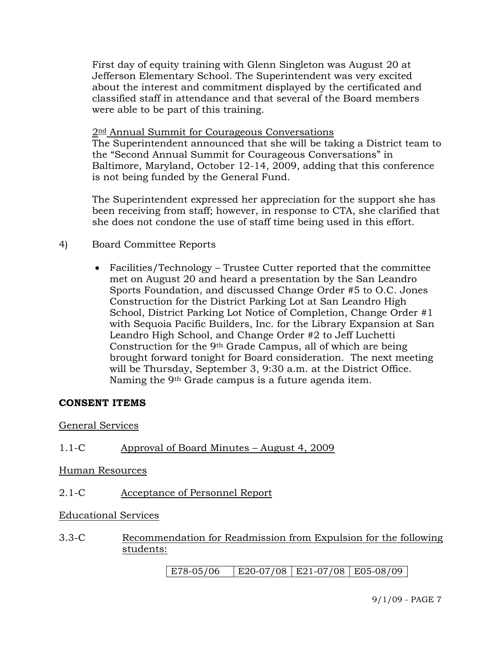First day of equity training with Glenn Singleton was August 20 at Jefferson Elementary School. The Superintendent was very excited about the interest and commitment displayed by the certificated and classified staff in attendance and that several of the Board members were able to be part of this training.

2<sup>nd</sup> Annual Summit for Courageous Conversations

The Superintendent announced that she will be taking a District team to the "Second Annual Summit for Courageous Conversations" in Baltimore, Maryland, October 12-14, 2009, adding that this conference is not being funded by the General Fund.

The Superintendent expressed her appreciation for the support she has been receiving from staff; however, in response to CTA, she clarified that she does not condone the use of staff time being used in this effort.

# 4) Board Committee Reports

• Facilities/Technology – Trustee Cutter reported that the committee met on August 20 and heard a presentation by the San Leandro Sports Foundation, and discussed Change Order #5 to O.C. Jones Construction for the District Parking Lot at San Leandro High School, District Parking Lot Notice of Completion, Change Order #1 with Sequoia Pacific Builders, Inc. for the Library Expansion at San Leandro High School, and Change Order #2 to Jeff Luchetti Construction for the 9th Grade Campus, all of which are being brought forward tonight for Board consideration. The next meeting will be Thursday, September 3, 9:30 a.m. at the District Office. Naming the 9th Grade campus is a future agenda item.

## **CONSENT ITEMS**

## General Services

# 1.1-C Approval of Board Minutes – August 4, 2009

## Human Resources

2.1-C Acceptance of Personnel Report

## Educational Services

3.3-C Recommendation for Readmission from Expulsion for the following students:

E78-05/06 | E20-07/08 | E21-07/08 | E05-08/09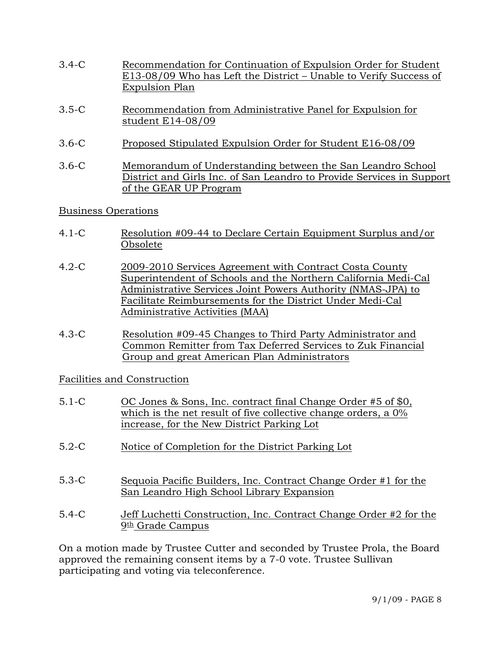- 3.4-C Recommendation for Continuation of Expulsion Order for Student E13-08/09 Who has Left the District – Unable to Verify Success of Expulsion Plan
- 3.5-C Recommendation from Administrative Panel for Expulsion for student E14-08/09
- 3.6-C Proposed Stipulated Expulsion Order for Student E16-08/09
- 3.6-C Memorandum of Understanding between the San Leandro School District and Girls Inc. of San Leandro to Provide Services in Support of the GEAR UP Program

## Business Operations

- 4.1-C Resolution #09-44 to Declare Certain Equipment Surplus and/or Obsolete
- 4.2-C 2009-2010 Services Agreement with Contract Costa County Superintendent of Schools and the Northern California Medi-Cal Administrative Services Joint Powers Authority (NMAS-JPA) to Facilitate Reimbursements for the District Under Medi-Cal Administrative Activities (MAA)
- 4.3-C Resolution #09-45 Changes to Third Party Administrator and Common Remitter from Tax Deferred Services to Zuk Financial Group and great American Plan Administrators

## Facilities and Construction

- 5.1-C OC Jones & Sons, Inc. contract final Change Order #5 of \$0, which is the net result of five collective change orders, a 0% increase, for the New District Parking Lot
- 5.2-C Notice of Completion for the District Parking Lot
- 5.3-C Sequoia Pacific Builders, Inc. Contract Change Order #1 for the San Leandro High School Library Expansion
- 5.4-C Jeff Luchetti Construction, Inc. Contract Change Order #2 for the  $9th$  Grade Campus

On a motion made by Trustee Cutter and seconded by Trustee Prola, the Board approved the remaining consent items by a 7-0 vote. Trustee Sullivan participating and voting via teleconference.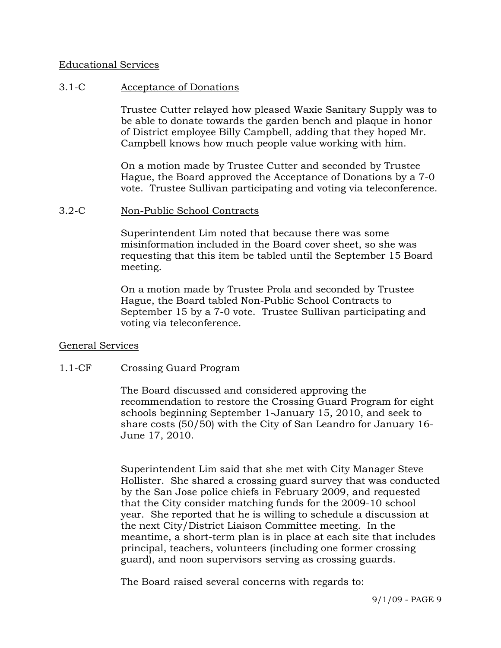### Educational Services

### 3.1-C Acceptance of Donations

Trustee Cutter relayed how pleased Waxie Sanitary Supply was to be able to donate towards the garden bench and plaque in honor of District employee Billy Campbell, adding that they hoped Mr. Campbell knows how much people value working with him.

On a motion made by Trustee Cutter and seconded by Trustee Hague, the Board approved the Acceptance of Donations by a 7-0 vote. Trustee Sullivan participating and voting via teleconference.

### 3.2-C Non-Public School Contracts

Superintendent Lim noted that because there was some misinformation included in the Board cover sheet, so she was requesting that this item be tabled until the September 15 Board meeting.

On a motion made by Trustee Prola and seconded by Trustee Hague, the Board tabled Non-Public School Contracts to September 15 by a 7-0 vote. Trustee Sullivan participating and voting via teleconference.

### General Services

### 1.1-CF Crossing Guard Program

The Board discussed and considered approving the recommendation to restore the Crossing Guard Program for eight schools beginning September 1-January 15, 2010, and seek to share costs (50/50) with the City of San Leandro for January 16- June 17, 2010.

Superintendent Lim said that she met with City Manager Steve Hollister. She shared a crossing guard survey that was conducted by the San Jose police chiefs in February 2009, and requested that the City consider matching funds for the 2009-10 school year. She reported that he is willing to schedule a discussion at the next City/District Liaison Committee meeting. In the meantime, a short-term plan is in place at each site that includes principal, teachers, volunteers (including one former crossing guard), and noon supervisors serving as crossing guards.

The Board raised several concerns with regards to: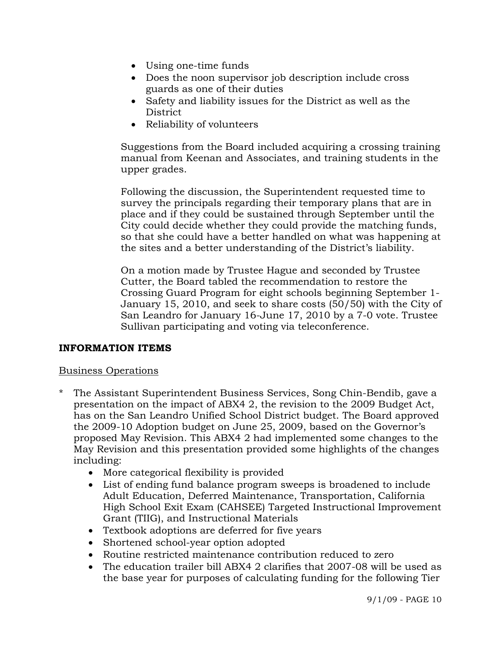- Using one-time funds
- Does the noon supervisor job description include cross guards as one of their duties
- Safety and liability issues for the District as well as the District
- Reliability of volunteers

Suggestions from the Board included acquiring a crossing training manual from Keenan and Associates, and training students in the upper grades.

Following the discussion, the Superintendent requested time to survey the principals regarding their temporary plans that are in place and if they could be sustained through September until the City could decide whether they could provide the matching funds, so that she could have a better handled on what was happening at the sites and a better understanding of the District's liability.

On a motion made by Trustee Hague and seconded by Trustee Cutter, the Board tabled the recommendation to restore the Crossing Guard Program for eight schools beginning September 1- January 15, 2010, and seek to share costs (50/50) with the City of San Leandro for January 16-June 17, 2010 by a 7-0 vote. Trustee Sullivan participating and voting via teleconference.

## **INFORMATION ITEMS**

## Business Operations

- \* The Assistant Superintendent Business Services, Song Chin-Bendib, gave a presentation on the impact of ABX4 2, the revision to the 2009 Budget Act, has on the San Leandro Unified School District budget. The Board approved the 2009-10 Adoption budget on June 25, 2009, based on the Governor's proposed May Revision. This ABX4 2 had implemented some changes to the May Revision and this presentation provided some highlights of the changes including:
	- More categorical flexibility is provided
	- List of ending fund balance program sweeps is broadened to include Adult Education, Deferred Maintenance, Transportation, California High School Exit Exam (CAHSEE) Targeted Instructional Improvement Grant (TIIG), and Instructional Materials
	- Textbook adoptions are deferred for five years
	- Shortened school-year option adopted
	- Routine restricted maintenance contribution reduced to zero
	- The education trailer bill ABX4 2 clarifies that 2007-08 will be used as the base year for purposes of calculating funding for the following Tier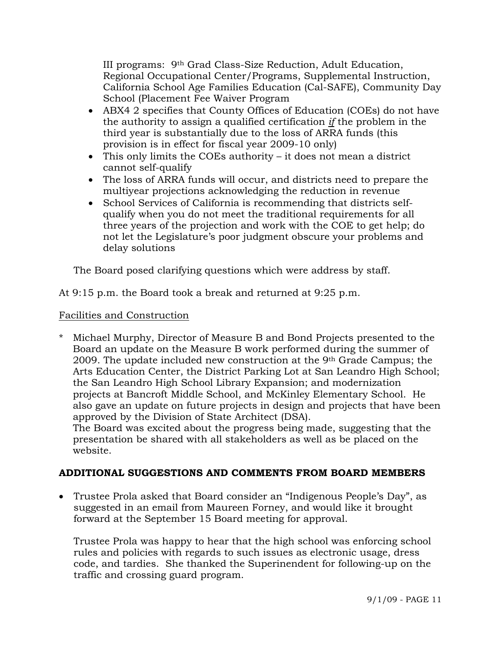III programs: 9th Grad Class-Size Reduction, Adult Education, Regional Occupational Center/Programs, Supplemental Instruction, California School Age Families Education (Cal-SAFE), Community Day School (Placement Fee Waiver Program

- ABX4 2 specifies that County Offices of Education (COEs) do not have the authority to assign a qualified certification *if* the problem in the third year is substantially due to the loss of ARRA funds (this provision is in effect for fiscal year 2009-10 only)
- This only limits the COEs authority it does not mean a district cannot self-qualify
- The loss of ARRA funds will occur, and districts need to prepare the multiyear projections acknowledging the reduction in revenue
- School Services of California is recommending that districts selfqualify when you do not meet the traditional requirements for all three years of the projection and work with the COE to get help; do not let the Legislature's poor judgment obscure your problems and delay solutions

The Board posed clarifying questions which were address by staff.

At 9:15 p.m. the Board took a break and returned at 9:25 p.m.

# Facilities and Construction

Michael Murphy, Director of Measure B and Bond Projects presented to the Board an update on the Measure B work performed during the summer of 2009. The update included new construction at the 9th Grade Campus; the Arts Education Center, the District Parking Lot at San Leandro High School; the San Leandro High School Library Expansion; and modernization projects at Bancroft Middle School, and McKinley Elementary School. He also gave an update on future projects in design and projects that have been approved by the Division of State Architect (DSA).

 The Board was excited about the progress being made, suggesting that the presentation be shared with all stakeholders as well as be placed on the website.

# **ADDITIONAL SUGGESTIONS AND COMMENTS FROM BOARD MEMBERS**

• Trustee Prola asked that Board consider an "Indigenous People's Day", as suggested in an email from Maureen Forney, and would like it brought forward at the September 15 Board meeting for approval.

Trustee Prola was happy to hear that the high school was enforcing school rules and policies with regards to such issues as electronic usage, dress code, and tardies. She thanked the Superinendent for following-up on the traffic and crossing guard program.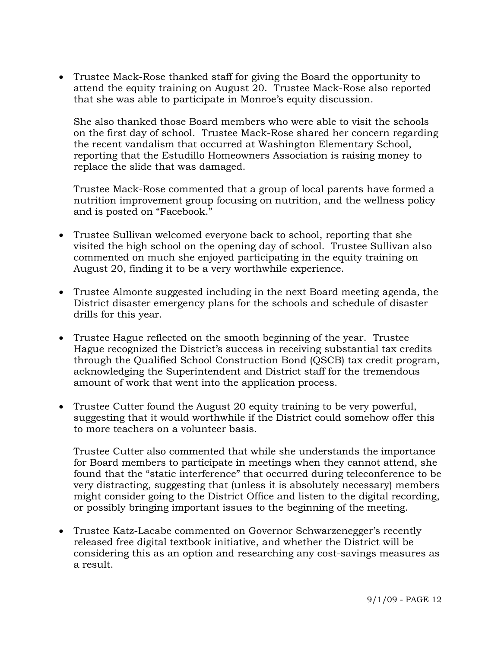• Trustee Mack-Rose thanked staff for giving the Board the opportunity to attend the equity training on August 20. Trustee Mack-Rose also reported that she was able to participate in Monroe's equity discussion.

 She also thanked those Board members who were able to visit the schools on the first day of school. Trustee Mack-Rose shared her concern regarding the recent vandalism that occurred at Washington Elementary School, reporting that the Estudillo Homeowners Association is raising money to replace the slide that was damaged.

 Trustee Mack-Rose commented that a group of local parents have formed a nutrition improvement group focusing on nutrition, and the wellness policy and is posted on "Facebook."

- Trustee Sullivan welcomed everyone back to school, reporting that she visited the high school on the opening day of school. Trustee Sullivan also commented on much she enjoyed participating in the equity training on August 20, finding it to be a very worthwhile experience.
- Trustee Almonte suggested including in the next Board meeting agenda, the District disaster emergency plans for the schools and schedule of disaster drills for this year.
- Trustee Hague reflected on the smooth beginning of the year. Trustee Hague recognized the District's success in receiving substantial tax credits through the Qualified School Construction Bond (QSCB) tax credit program, acknowledging the Superintendent and District staff for the tremendous amount of work that went into the application process.
- Trustee Cutter found the August 20 equity training to be very powerful, suggesting that it would worthwhile if the District could somehow offer this to more teachers on a volunteer basis.

Trustee Cutter also commented that while she understands the importance for Board members to participate in meetings when they cannot attend, she found that the "static interference" that occurred during teleconference to be very distracting, suggesting that (unless it is absolutely necessary) members might consider going to the District Office and listen to the digital recording, or possibly bringing important issues to the beginning of the meeting.

• Trustee Katz-Lacabe commented on Governor Schwarzenegger's recently released free digital textbook initiative, and whether the District will be considering this as an option and researching any cost-savings measures as a result.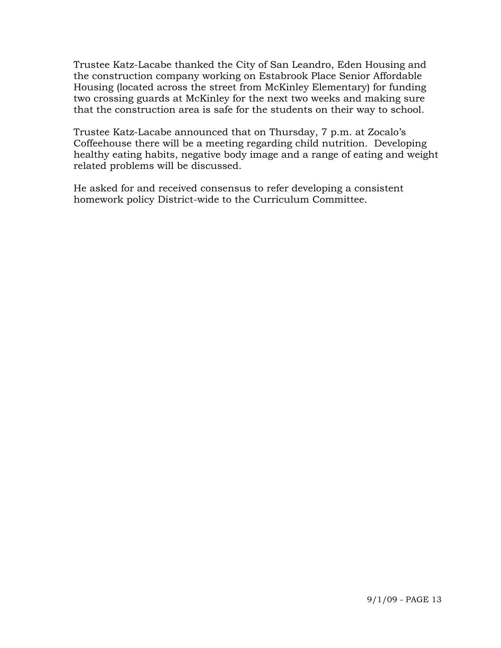Trustee Katz-Lacabe thanked the City of San Leandro, Eden Housing and the construction company working on Estabrook Place Senior Affordable Housing (located across the street from McKinley Elementary) for funding two crossing guards at McKinley for the next two weeks and making sure that the construction area is safe for the students on their way to school.

Trustee Katz-Lacabe announced that on Thursday, 7 p.m. at Zocalo's Coffeehouse there will be a meeting regarding child nutrition. Developing healthy eating habits, negative body image and a range of eating and weight related problems will be discussed.

He asked for and received consensus to refer developing a consistent homework policy District-wide to the Curriculum Committee.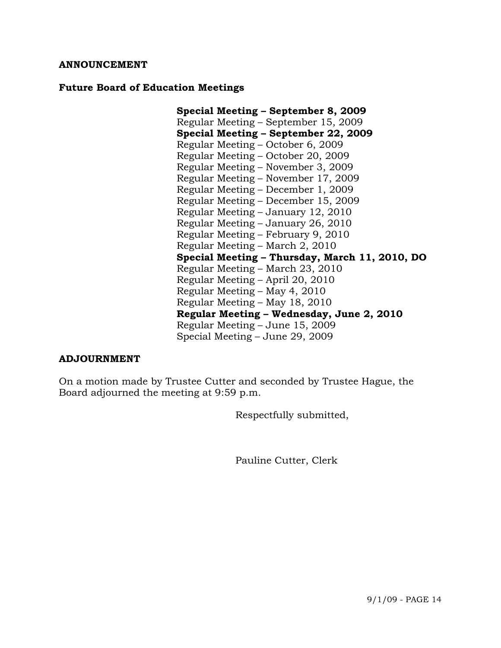### **ANNOUNCEMENT**

#### **Future Board of Education Meetings**

**Special Meeting – September 8, 2009**  Regular Meeting – September 15, 2009 **Special Meeting – September 22, 2009**  Regular Meeting – October 6, 2009 Regular Meeting – October 20, 2009 Regular Meeting – November 3, 2009 Regular Meeting – November 17, 2009 Regular Meeting – December 1, 2009 Regular Meeting – December 15, 2009 Regular Meeting – January 12, 2010 Regular Meeting – January 26, 2010 Regular Meeting – February 9, 2010 Regular Meeting – March 2, 2010 **Special Meeting – Thursday, March 11, 2010, DO** Regular Meeting – March 23, 2010 Regular Meeting – April 20, 2010 Regular Meeting – May 4, 2010 Regular Meeting – May 18, 2010 **Regular Meeting – Wednesday, June 2, 2010**  Regular Meeting – June 15, 2009 Special Meeting – June 29, 2009

### **ADJOURNMENT**

On a motion made by Trustee Cutter and seconded by Trustee Hague, the Board adjourned the meeting at 9:59 p.m.

Respectfully submitted,

Pauline Cutter, Clerk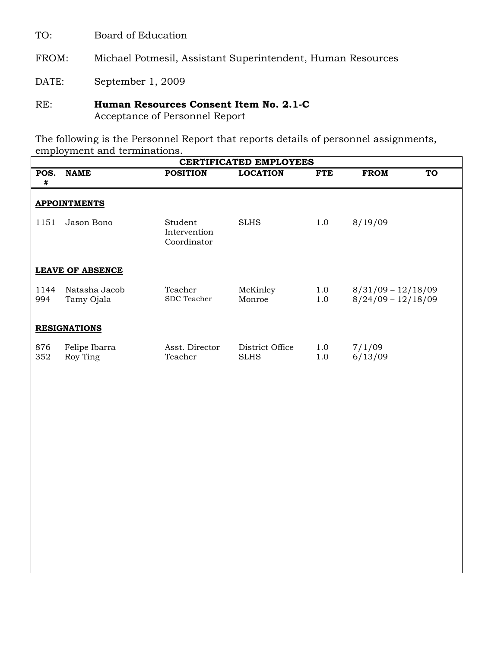TO: Board of Education

FROM: Michael Potmesil, Assistant Superintendent, Human Resources

DATE:September 1, 2009

## RE: **Human Resources Consent Item No. 2.1-C** Acceptance of Personnel Report

The following is the Personnel Report that reports details of personnel assignments, employment and terminations.

| <b>CERTIFICATED EMPLOYEES</b> |                             |                                        |                                |            |                                              |  |  |  |  |  |  |
|-------------------------------|-----------------------------|----------------------------------------|--------------------------------|------------|----------------------------------------------|--|--|--|--|--|--|
| POS.<br>#                     | <b>NAME</b>                 | <b>POSITION</b>                        | <b>LOCATION</b>                | <b>FTE</b> | <b>FROM</b><br><b>TO</b>                     |  |  |  |  |  |  |
|                               | <b>APPOINTMENTS</b>         |                                        |                                |            |                                              |  |  |  |  |  |  |
| 1151                          | Jason Bono                  | Student<br>Intervention<br>Coordinator | <b>SLHS</b>                    | 1.0        | 8/19/09                                      |  |  |  |  |  |  |
|                               | <b>LEAVE OF ABSENCE</b>     |                                        |                                |            |                                              |  |  |  |  |  |  |
| 1144<br>994                   | Natasha Jacob<br>Tamy Ojala | Teacher<br>SDC Teacher                 | McKinley<br>Monroe             | 1.0<br>1.0 | $8/31/09 - 12/18/09$<br>$8/24/09 - 12/18/09$ |  |  |  |  |  |  |
|                               | <b>RESIGNATIONS</b>         |                                        |                                |            |                                              |  |  |  |  |  |  |
| 876<br>352                    | Felipe Ibarra<br>Roy Ting   | Asst. Director<br>Teacher              | District Office<br><b>SLHS</b> | 1.0<br>1.0 | 7/1/09<br>6/13/09                            |  |  |  |  |  |  |